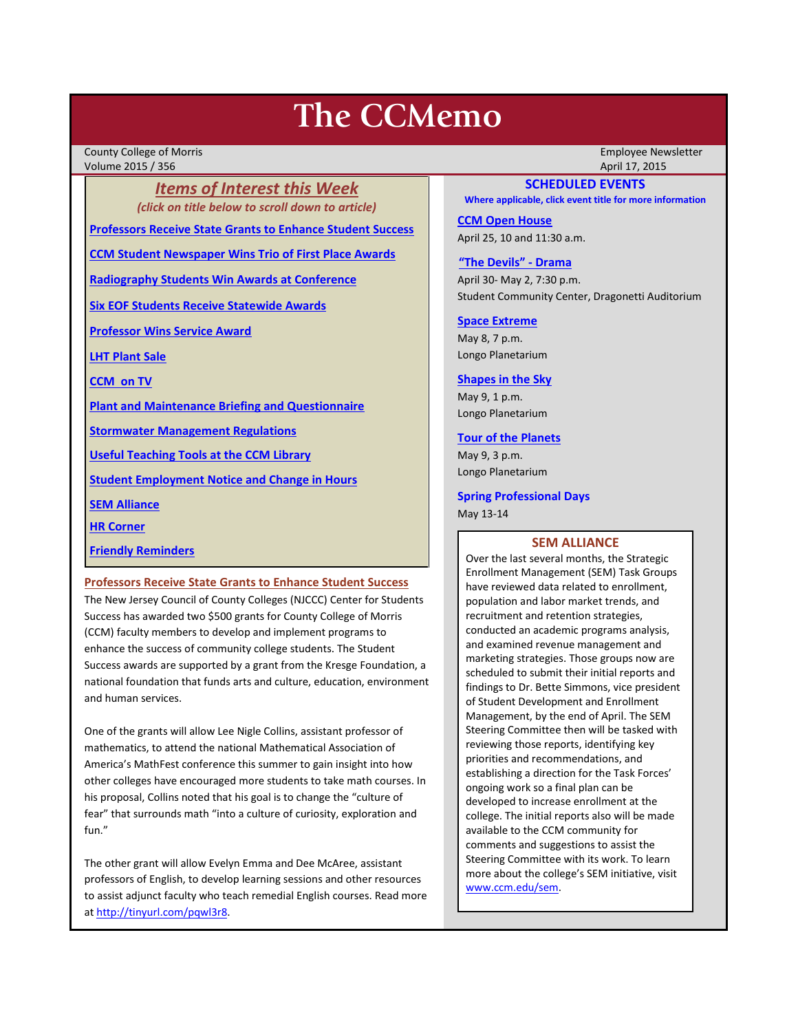# **The CCMemo**

County College of Morris Employee Newsletter Volume 2015 / 356 April 17, 2015

*Items of Interest this Week (click on title below to scroll down to article)*

**[Professors Receive State Grants to Enhance Student Success](#page-0-0)**

**[CCM Student Newspaper Wins Trio of First Place Awards](#page-1-0)**

**[Radiography Students Win Awards at Conference](#page-2-0)**

**[Six EOF Students Receive Statewide Awards](#page-1-1)**

**[Professor Wins Service Award](#page-2-1)**

**[LHT Plant Sale](#page-2-2)**

**[CCM on TV](#page-3-0)**

**[Plant and Maintenance Briefing and Questionnaire](#page-3-1)**

**[Stormwater Management Regulations](#page-3-2)**

**[Useful Teaching Tools at the CCM Library](#page-3-3)**

**[Student Employment Notice and Change in Hours](#page-4-0)**

**[SEM Alliance](#page-0-1)**

**[HR Corner](#page-3-4)**

**[Friendly Reminders](#page-1-2)**

<span id="page-0-0"></span>**Professors Receive State Grants to Enhance Student Success**

The New Jersey Council of County Colleges (NJCCC) Center for Students Success has awarded two \$500 grants for County College of Morris (CCM) faculty members to develop and implement programs to enhance the success of community college students. The Student Success awards are supported by a grant from the Kresge Foundation, a national foundation that funds arts and culture, education, environment and human services.

One of the grants will allow Lee Nigle Collins, assistant professor of mathematics, to attend the national Mathematical Association of America's MathFest conference this summer to gain insight into how other colleges have encouraged more students to take math courses. In his proposal, Collins noted that his goal is to change the "culture of fear" that surrounds math "into a culture of curiosity, exploration and fun."

The other grant will allow Evelyn Emma and Dee McAree, assistant professors of English, to develop learning sessions and other resources to assist adjunct faculty who teach remedial English courses. Read more a[t http://tinyurl.com/pqwl3r8.](http://tinyurl.com/pqwl3r8)

## **SCHEDULED EVENTS**

**Where applicable, click event title for more information**

**[CCM Open House](http://www.ccm.edu/newsEvents/newsDetails.aspx?Channel=%2fChannels%2fSitewide&WorkflowItemID=674cd235-fa2f-49c3-a07c-ba44419ed7f6)** April 25, 10 and 11:30 a.m.

**["The Devils" -](http://www.ccm.edu/newsEvents/eventDetails.aspx?Channel=/Channels/Sitewide&WorkflowItemID=8dd88758-b234-42f0-abf7-34958b6a6635) Drama**

April 30- May 2, 7:30 p.m. Student Community Center, Dragonetti Auditorium

**[Space Extreme](http://www.ccm.edu/newsEvents/eventDetails.aspx?Channel=/Channels/Sitewide&WorkflowItemID=1874a4b0-0bcb-4ed1-a29e-7b4f8d25e45d)** May 8, 7 p.m. Longo Planetarium

#### **[Shapes in the Sky](http://www.ccm.edu/newsEvents/eventDetails.aspx?Channel=/Channels/Sitewide&WorkflowItemID=1922c928-86d3-4e75-b6a2-fd618033989c)**

May 9, 1 p.m. Longo Planetarium

#### **[Tour of the Planets](http://www.ccm.edu/newsEvents/eventDetails.aspx?Channel=/Channels/Sitewide&WorkflowItemID=5834aa20-68ba-4fa2-a3ac-75b2311ba441)**

May 9, 3 p.m. Longo Planetarium

#### **Spring Professional Days**

May 13-14

## **SEM ALLIANCE**

<span id="page-0-1"></span>Over the last several months, the Strategic Enrollment Management (SEM) Task Groups have reviewed data related to enrollment, population and labor market trends, and recruitment and retention strategies, conducted an academic programs analysis, and examined revenue management and marketing strategies. Those groups now are scheduled to submit their initial reports and findings to Dr. Bette Simmons, vice president of Student Development and Enrollment Management, by the end of April. The SEM Steering Committee then will be tasked with reviewing those reports, identifying key priorities and recommendations, and establishing a direction for the Task Forces' ongoing work so a final plan can be developed to increase enrollment at the college. The initial reports also will be made available to the CCM community for comments and suggestions to assist the Steering Committee with its work. To learn more about the college's SEM initiative, visit [www.ccm.edu/sem.](http://www.ccm.edu/sem)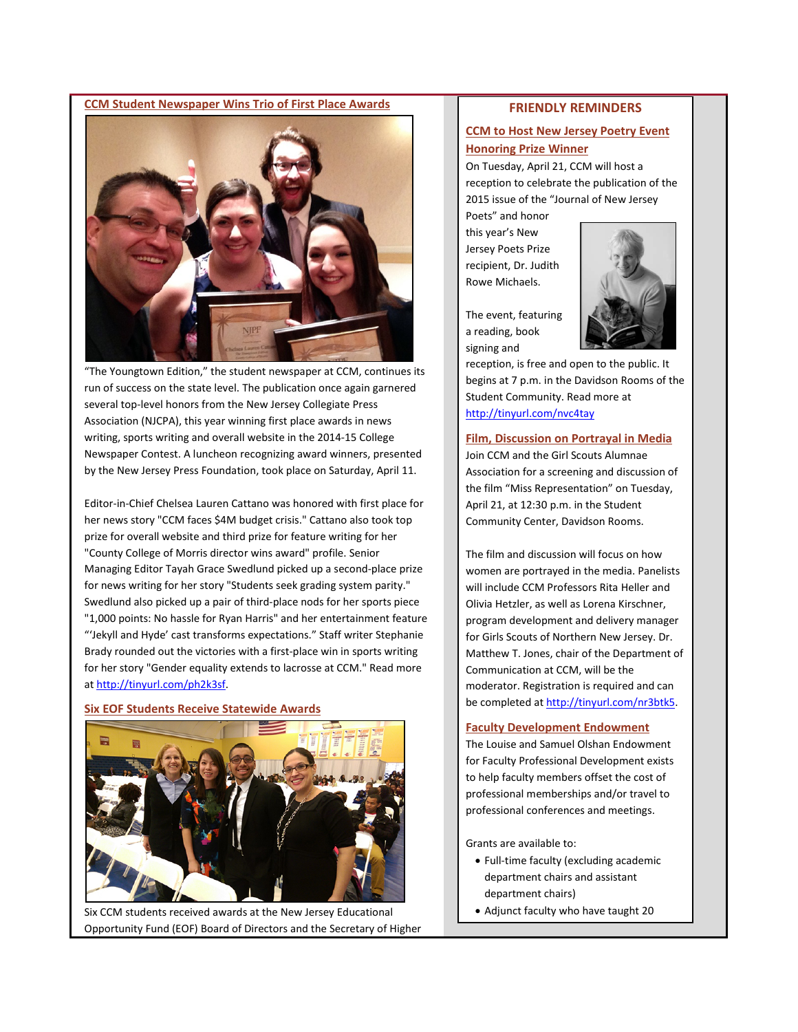#### <span id="page-1-0"></span>**CCM Student Newspaper Wins Trio of First Place Awards**



"The Youngtown Edition," the student newspaper at CCM, continues its run of success on the state level. The publication once again garnered several top-level honors from the New Jersey Collegiate Press Association (NJCPA), this year winning first place awards in news writing, sports writing and overall website in the 2014-15 College Newspaper Contest. A luncheon recognizing award winners, presented by the New Jersey Press Foundation, took place on Saturday, April 11.

Editor-in-Chief Chelsea Lauren Cattano was honored with first place for her news story "CCM faces \$4M budget crisis." Cattano also took top prize for overall website and third prize for feature writing for her "County College of Morris director wins award" profile. Senior Managing Editor Tayah Grace Swedlund picked up a second-place prize for news writing for her story "Students seek grading system parity." Swedlund also picked up a pair of third-place nods for her sports piece "1,000 points: No hassle for Ryan Harris" and her entertainment feature "'Jekyll and Hyde' cast transforms expectations." Staff writer Stephanie Brady rounded out the victories with a first-place win in sports writing for her story "Gender equality extends to lacrosse at CCM." Read more a[t http://tinyurl.com/ph2k3sf.](http://tinyurl.com/ph2k3sf)

## <span id="page-1-1"></span>**Six EOF Students Receive Statewide Awards**



Six CCM students received awards at the New Jersey Educational Opportunity Fund (EOF) Board of Directors and the Secretary of Higher

## **FRIENDLY REMINDERS**

# <span id="page-1-2"></span>**CCM to Host New Jersey Poetry Event Honoring Prize Winner**

On Tuesday, April 21, CCM will host a reception to celebrate the publication of the 2015 issue of the "Journal of New Jersey

Poets" and honor this year's New Jersey Poets Prize recipient, Dr. Judith Rowe Michaels.

The event, featuring a reading, book signing and



reception, is free and open to the public. It begins at 7 p.m. in the Davidson Rooms of the Student Community. Read more at <http://tinyurl.com/nvc4tay>

#### **Film, Discussion on Portrayal in Media**

Join CCM and the Girl Scouts Alumnae Association for a screening and discussion of the film "Miss Representation" on Tuesday, April 21, at 12:30 p.m. in the Student Community Center, Davidson Rooms.

The film and discussion will focus on how women are portrayed in the media. Panelists will include CCM Professors Rita Heller and Olivia Hetzler, as well as Lorena Kirschner, program development and delivery manager for Girls Scouts of Northern New Jersey. Dr. Matthew T. Jones, chair of the Department of Communication at CCM, will be the moderator. Registration is required and can be completed a[t http://tinyurl.com/nr3btk5.](http://tinyurl.com/nr3btk5)

## **Faculty Development Endowment**

The Louise and Samuel Olshan Endowment for Faculty Professional Development exists to help faculty members offset the cost of professional memberships and/or travel to professional conferences and meetings.

Grants are available to:

- Full-time faculty (excluding academic department chairs and assistant department chairs)
- Adjunct faculty who have taught 20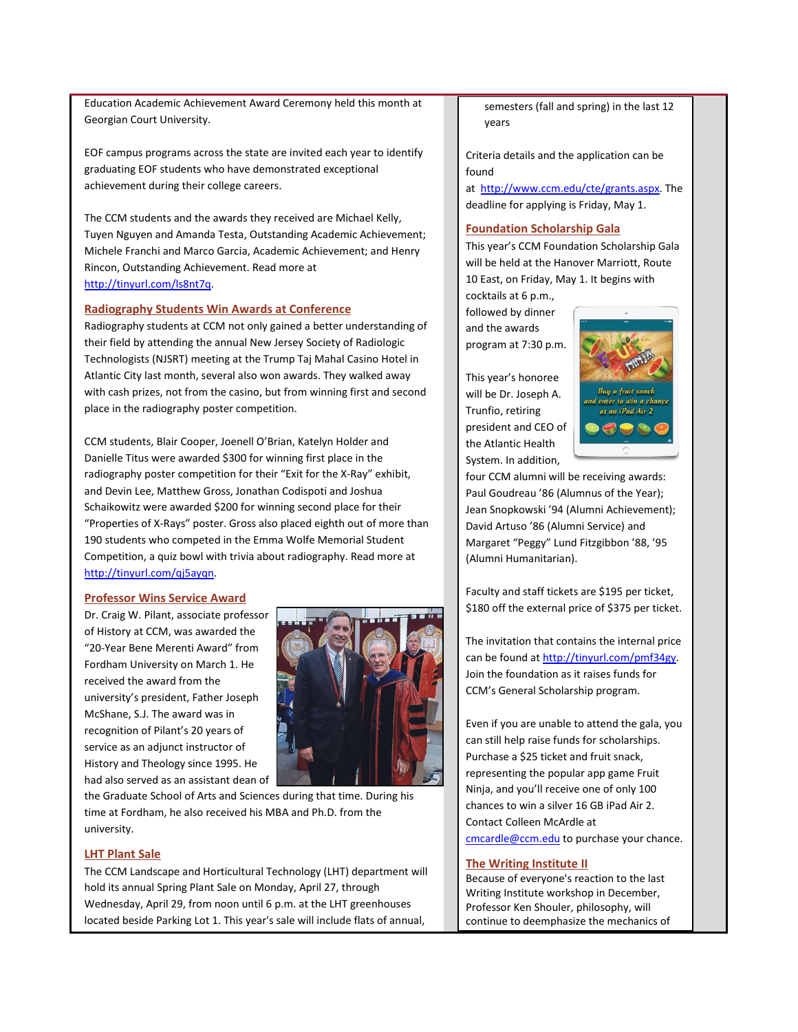Education Academic Achievement Award Ceremony held this month at Georgian Court University.

EOF campus programs across the state are invited each year to identify graduating EOF students who have demonstrated exceptional achievement during their college careers.

The CCM students and the awards they received are Michael Kelly, Tuyen Nguyen and Amanda Testa, Outstanding Academic Achievement; Michele Franchi and Marco Garcia, Academic Achievement; and Henry Rincon, Outstanding Achievement. Read more at [http://tinyurl.com/ls8nt7q.](http://tinyurl.com/ls8nt7q)

### <span id="page-2-0"></span>**Radiography Students Win Awards at Conference**

Radiography students at CCM not only gained a better understanding of their field by attending the annual New Jersey Society of Radiologic Technologists (NJSRT) meeting at the Trump Taj Mahal Casino Hotel in Atlantic City last month, several also won awards. They walked away with cash prizes, not from the casino, but from winning first and second place in the radiography poster competition.

CCM students, Blair Cooper, Joenell O'Brian, Katelyn Holder and Danielle Titus were awarded \$300 for winning first place in the radiography poster competition for their "Exit for the X-Ray" exhibit, and Devin Lee, Matthew Gross, Jonathan Codispoti and Joshua Schaikowitz were awarded \$200 for winning second place for their "Properties of X-Rays" poster. Gross also placed eighth out of more than 190 students who competed in the Emma Wolfe Memorial Student Competition, a quiz bowl with trivia about radiography. Read more at [http://tinyurl.com/qj5ayqn.](http://tinyurl.com/qj5ayqn)

#### <span id="page-2-1"></span>**Professor Wins Service Award**

Dr. Craig W. Pilant, associate professor of History at CCM, was awarded the "20-Year Bene Merenti Award" from Fordham University on March 1. He received the award from the university's president, Father Joseph McShane, S.J. The award was in recognition of Pilant's 20 years of service as an adjunct instructor of History and Theology since 1995. He had also served as an assistant dean of



the Graduate School of Arts and Sciences during that time. During his time at Fordham, he also received his MBA and Ph.D. from the university.

## <span id="page-2-2"></span>**LHT Plant Sale**

The CCM Landscape and Horticultural Technology (LHT) department will hold its annual Spring Plant Sale on Monday, April 27, through Wednesday, April 29, from noon until 6 p.m. at the LHT greenhouses located beside Parking Lot 1. This year's sale will include flats of annual,

semesters (fall and spring) in the last 12 years

Criteria details and the application can be found at [http://www.ccm.edu/cte/grants.aspx.](http://www.ccm.edu/cte/grants.aspx) The

deadline for applying is Friday, May 1.

## **Foundation Scholarship Gala**

This year's CCM Foundation Scholarship Gala will be held at the Hanover Marriott, Route 10 East, on Friday, May 1. It begins with

cocktails at 6 p.m., followed by dinner and the awards program at 7:30 p.m.

This year's honoree will be Dr. Joseph A. Trunfio, retiring president and CEO of the Atlantic Health System. In addition,



four CCM alumni will be receiving awards: Paul Goudreau '86 (Alumnus of the Year); Jean Snopkowski '94 (Alumni Achievement); David Artuso '86 (Alumni Service) and Margaret "Peggy" Lund Fitzgibbon '88, '95 (Alumni Humanitarian).

Faculty and staff tickets are \$195 per ticket, \$180 off the external price of \$375 per ticket.

The invitation that contains the internal price can be found a[t http://tinyurl.com/pmf34gy.](http://tinyurl.com/pmf34gy) Join the foundation as it raises funds for CCM's General Scholarship program.

Even if you are unable to attend the gala, you can still help raise funds for scholarships. Purchase a \$25 ticket and fruit snack, representing the popular app game Fruit Ninja, and you'll receive one of only 100 chances to win a silver 16 GB iPad Air 2. Contact Colleen McArdle at [cmcardle@ccm.edu](mailto:cmcardle@ccm.edu) to purchase your chance.

#### **The Writing Institute II**

Because of everyone's reaction to the last Writing Institute workshop in December, Professor Ken Shouler, philosophy, will continue to deemphasize the mechanics of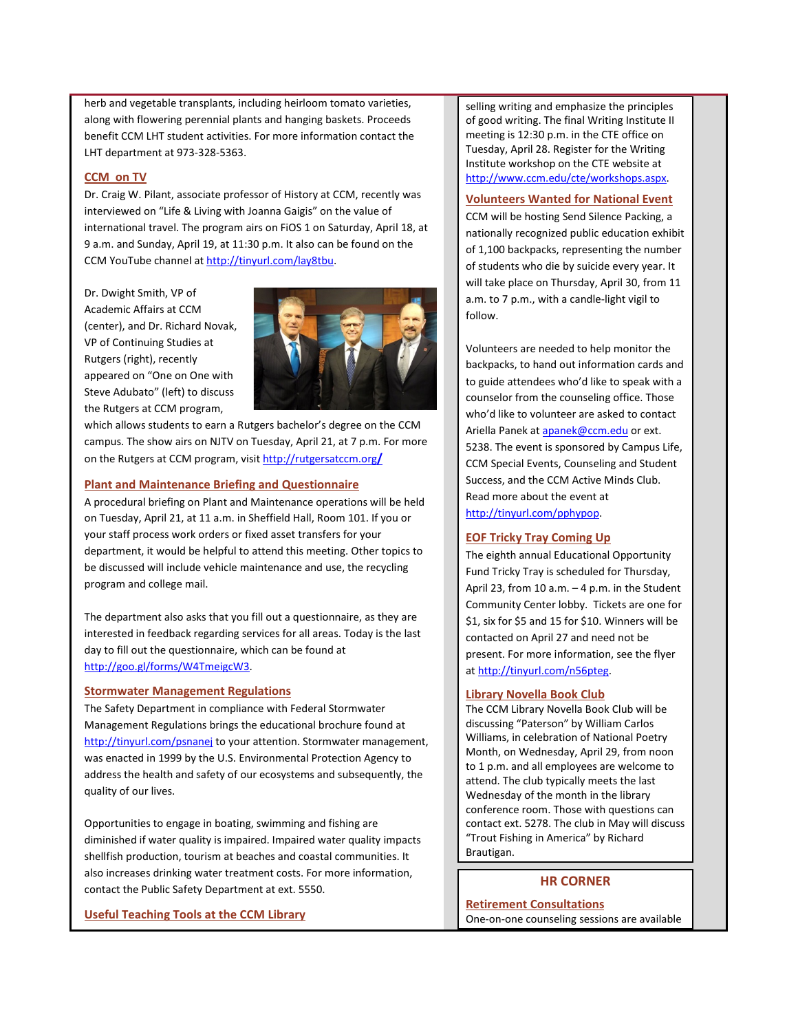herb and vegetable transplants, including heirloom tomato varieties, along with flowering perennial plants and hanging baskets. Proceeds benefit CCM LHT student activities. For more information contact the LHT department at 973-328-5363.

## <span id="page-3-0"></span>**CCM on TV**

Dr. Craig W. Pilant, associate professor of History at CCM, recently was interviewed on "Life & Living with Joanna Gaigis" on the value of international travel. The program airs on FiOS 1 on Saturday, April 18, at 9 a.m. and Sunday, April 19, at 11:30 p.m. It also can be found on the CCM YouTube channel a[t http://tinyurl.com/lay8tbu.](http://tinyurl.com/lay8tbu)

Dr. Dwight Smith, VP of Academic Affairs at CCM (center), and Dr. Richard Novak, VP of Continuing Studies at Rutgers (right), recently appeared on "One on One with Steve Adubato" (left) to discuss the Rutgers at CCM program,



which allows students to earn a Rutgers bachelor's degree on the CCM campus. The show airs on NJTV on Tuesday, April 21, at 7 p.m. For more on the Rutgers at CCM program, visit [http://rutgersatccm.org](http://rutgersatccm.org/)**/**

### <span id="page-3-1"></span>**Plant and Maintenance Briefing and Questionnaire**

A procedural briefing on Plant and Maintenance operations will be held on Tuesday, April 21, at 11 a.m. in Sheffield Hall, Room 101. If you or your staff process work orders or fixed asset transfers for your department, it would be helpful to attend this meeting. Other topics to be discussed will include vehicle maintenance and use, the recycling program and college mail.

The department also asks that you fill out a questionnaire, as they are interested in feedback regarding services for all areas. Today is the last day to fill out the questionnaire, which can be found at [http://goo.gl/forms/W4TmeigcW3.](http://goo.gl/forms/W4TmeigcW3)

## <span id="page-3-2"></span>**Stormwater Management Regulations**

The Safety Department in compliance with Federal Stormwater Management Regulations brings the educational brochure found at <http://tinyurl.com/psnanej> to your attention. Stormwater management, was enacted in 1999 by the U.S. Environmental Protection Agency to address the health and safety of our ecosystems and subsequently, the quality of our lives.

Opportunities to engage in boating, swimming and fishing are diminished if water quality is impaired. Impaired water quality impacts shellfish production, tourism at beaches and coastal communities. It also increases drinking water treatment costs. For more information, contact the Public Safety Department at ext. 5550.

<span id="page-3-3"></span>**Useful Teaching Tools at the CCM Library**

selling writing and emphasize the principles of good writing. The final Writing Institute II meeting is 12:30 p.m. in the CTE office on Tuesday, April 28. Register for the Writing Institute workshop on the CTE website at [http://www.ccm.edu/cte/workshops.aspx.](http://www.ccm.edu/cte/workshops.aspx)

## **Volunteers Wanted for National Event**

CCM will be hosting Send Silence Packing, a nationally recognized public education exhibit of 1,100 backpacks, representing the number of students who die by suicide every year. It will take place on Thursday, April 30, from 11 a.m. to 7 p.m., with a candle-light vigil to follow.

Volunteers are needed to help monitor the backpacks, to hand out information cards and to guide attendees who'd like to speak with a counselor from the counseling office. Those who'd like to volunteer are asked to contact Ariella Panek a[t apanek@ccm.edu](mailto:apanek@ccm.edu) or ext. 5238. The event is sponsored by Campus Life, CCM Special Events, Counseling and Student Success, and the CCM Active Minds Club. Read more about the event at [http://tinyurl.com/pphypop.](http://tinyurl.com/pphypop)

## **EOF Tricky Tray Coming Up**

The eighth annual Educational Opportunity Fund Tricky Tray is scheduled for Thursday, April 23, from 10 a.m.  $-4$  p.m. in the Student Community Center lobby. Tickets are one for \$1, six for \$5 and 15 for \$10. Winners will be contacted on April 27 and need not be present. For more information, see the flyer at [http://tinyurl.com/n56pteg.](http://tinyurl.com/n56pteg)

## **Library Novella Book Club**

The CCM Library Novella Book Club will be discussing "Paterson" by William Carlos Williams, in celebration of National Poetry Month, on Wednesday, April 29, from noon to 1 p.m. and all employees are welcome to attend. The club typically meets the last Wednesday of the month in the library conference room. Those with questions can contact ext. 5278. The club in May will discuss "Trout Fishing in America" by Richard Brautigan.

# **HR CORNER**

<span id="page-3-4"></span>**Retirement Consultations** One-on-one counseling sessions are available